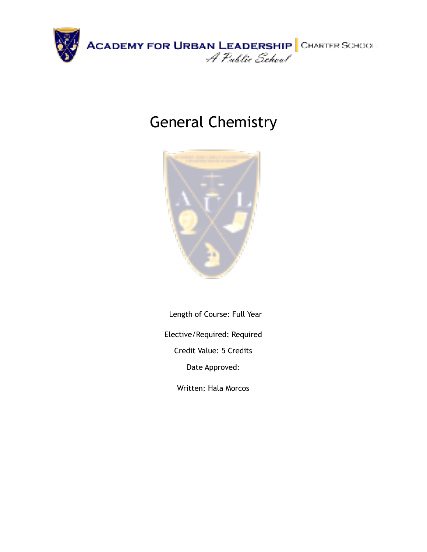

# General Chemistry



Length of Course: Full Year Elective/Required: Required Credit Value: 5 Credits Date Approved:

Written: Hala Morcos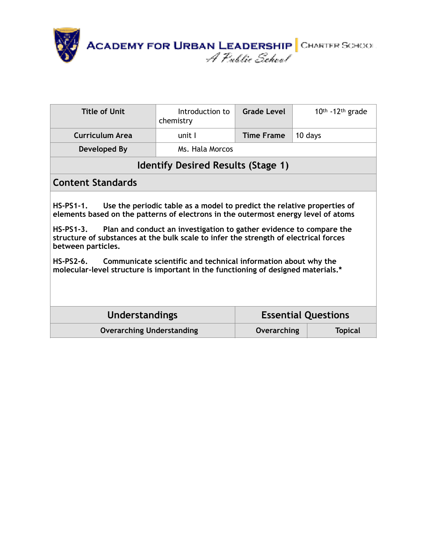

| Title of Unit                                                                                                                                                                                                                                                                                                                                                                                                                                                                                                                                                     | Introduction to<br>chemistry | Grade Level                  | 10th -12th grade |  |
|-------------------------------------------------------------------------------------------------------------------------------------------------------------------------------------------------------------------------------------------------------------------------------------------------------------------------------------------------------------------------------------------------------------------------------------------------------------------------------------------------------------------------------------------------------------------|------------------------------|------------------------------|------------------|--|
| Curriculum Area                                                                                                                                                                                                                                                                                                                                                                                                                                                                                                                                                   | unit I                       | <b>Time Frame</b><br>10 days |                  |  |
| Developed By                                                                                                                                                                                                                                                                                                                                                                                                                                                                                                                                                      | Ms. Hala Morcos              |                              |                  |  |
| <b>Identify Desired Results (Stage 1)</b>                                                                                                                                                                                                                                                                                                                                                                                                                                                                                                                         |                              |                              |                  |  |
| <b>Content Standards</b>                                                                                                                                                                                                                                                                                                                                                                                                                                                                                                                                          |                              |                              |                  |  |
| Use the periodic table as a model to predict the relative properties of<br><b>HS-PS1-1.</b><br>elements based on the patterns of electrons in the outermost energy level of atoms<br>Plan and conduct an investigation to gather evidence to compare the<br><b>HS-PS1-3.</b><br>structure of substances at the bulk scale to infer the strength of electrical forces<br>between particles.<br>Communicate scientific and technical information about why the<br>$HS-PS2-6$ .<br>molecular-level structure is important in the functioning of designed materials.* |                              |                              |                  |  |
| <b>Understandings</b><br><b>Essential Questions</b>                                                                                                                                                                                                                                                                                                                                                                                                                                                                                                               |                              |                              |                  |  |
| <b>Overarching Understanding</b>                                                                                                                                                                                                                                                                                                                                                                                                                                                                                                                                  |                              | Overarching                  | <b>Topical</b>   |  |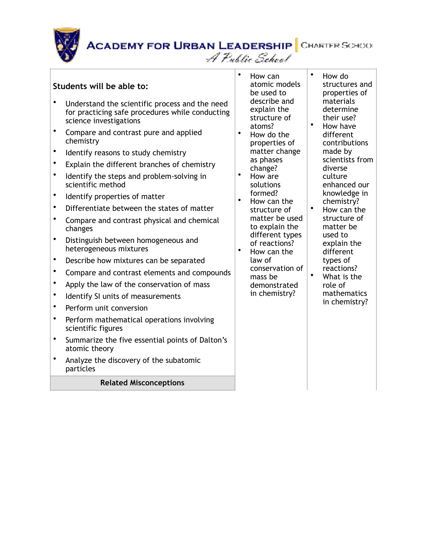#### **Students will be able to:**

- Understand the scientific process and the need for practicing safe procedures while conducting science investigations
- Compare and contrast pure and applied chemistry
- Identify reasons to study chemistry
- Explain the different branches of chemistry
- Identify the steps and problem-solving in scientific method
- Identify properties of matter
- Differentiate between the states of matter
- Compare and contrast physical and chemical changes
- Distinguish between homogeneous and heterogeneous mixtures
- Describe how mixtures can be separated
- Compare and contrast elements and compounds
- Apply the law of the conservation of mass
- Identify SI units of measurements
- Perform unit conversion
- Perform mathematical operations involving scientific figures
- Summarize the five essential points of Dalton's atomic theory
- Analyze the discovery of the subatomic particles

#### **Related Misconceptions**

• How can atomic models be used to describe and explain the structure of atoms?

A Public School

- How do the properties of matter change as phases change?
- How are solutions formed?
- How can the structure of matter be used to explain the different types of reactions?
	- How can the law of conservation of mass be demonstrated in chemistry?
- How do structures and properties of materials determine their use?
	- How have different contributions made by scientists from diverse culture enhanced our knowledge in chemistry?
- How can the structure of matter be used to explain the different types of reactions? • What is the
- role of mathematics in chemistry?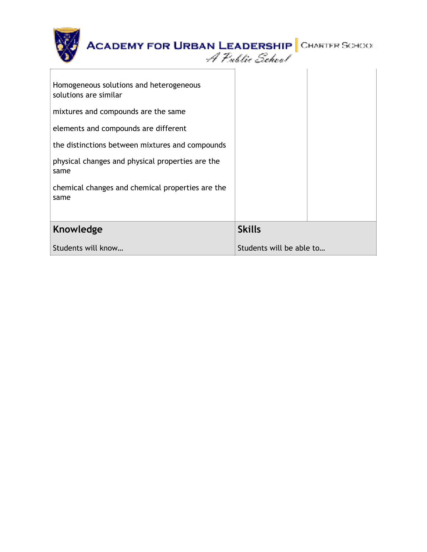| <b>ACADEMY FOR URBAN LEADERSHIP</b> CHARTER SCHOOL               | A Public School          |  |
|------------------------------------------------------------------|--------------------------|--|
| Homogeneous solutions and heterogeneous<br>solutions are similar |                          |  |
| mixtures and compounds are the same                              |                          |  |
| elements and compounds are different                             |                          |  |
| the distinctions between mixtures and compounds                  |                          |  |
| physical changes and physical properties are the<br>same         |                          |  |
| chemical changes and chemical properties are the<br>same         |                          |  |
| Knowledge                                                        | <b>Skills</b>            |  |
| Students will know                                               | Students will be able to |  |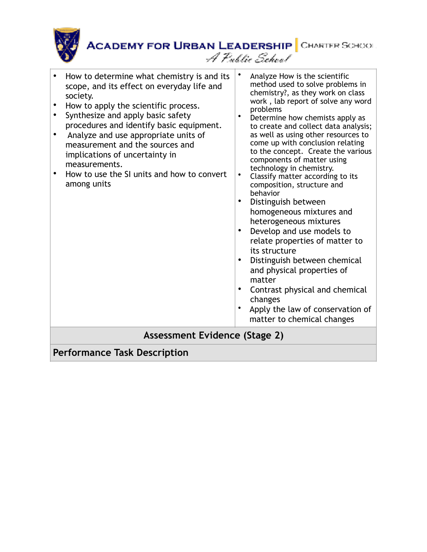

| scope, and its effect on everyday life and<br>society.<br>How to apply the scientific process.<br>Synthesize and apply basic safety<br>procedures and identify basic equipment.<br>Analyze and use appropriate units of<br>measurement and the sources and<br>implications of uncertainty in<br>measurements.<br>How to use the SI units and how to convert<br>٠<br>among units | chemistry?, as they work on class<br>work, lab report of solve any word<br>problems<br>$\bullet$<br>Determine how chemists apply as<br>to create and collect data analysis;<br>as well as using other resources to<br>come up with conclusion relating<br>to the concept. Create the various<br>components of matter using<br>technology in chemistry.<br>$\bullet$<br>Classify matter according to its<br>composition, structure and<br>behavior<br>Distinguish between<br>homogeneous mixtures and<br>heterogeneous mixtures<br>Develop and use models to<br>relate properties of matter to<br>its structure<br>Distinguish between chemical<br>٠<br>and physical properties of<br>matter<br>Contrast physical and chemical<br>changes<br>Apply the law of conservation of<br>matter to chemical changes |  |  |
|---------------------------------------------------------------------------------------------------------------------------------------------------------------------------------------------------------------------------------------------------------------------------------------------------------------------------------------------------------------------------------|------------------------------------------------------------------------------------------------------------------------------------------------------------------------------------------------------------------------------------------------------------------------------------------------------------------------------------------------------------------------------------------------------------------------------------------------------------------------------------------------------------------------------------------------------------------------------------------------------------------------------------------------------------------------------------------------------------------------------------------------------------------------------------------------------------|--|--|
| Assessment Evidence (Stage 2)<br><b>Performance Task Description</b>                                                                                                                                                                                                                                                                                                            |                                                                                                                                                                                                                                                                                                                                                                                                                                                                                                                                                                                                                                                                                                                                                                                                            |  |  |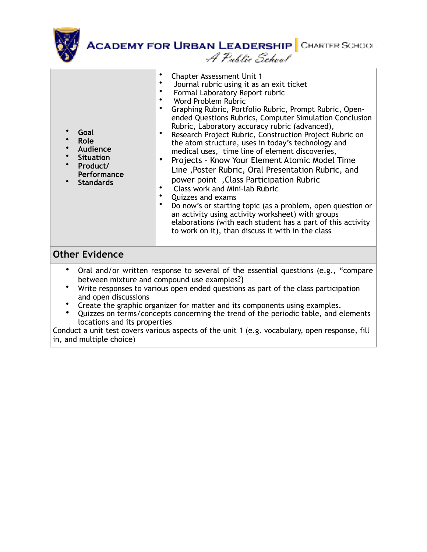

| Goal<br>Role<br>$\bullet$<br>Audience<br>$\bullet$<br><b>Situation</b><br>Product/<br>Performance<br><b>Standards</b>                                                                                                                                        | <b>Chapter Assessment Unit 1</b><br>Journal rubric using it as an exit ticket<br>Formal Laboratory Report rubric<br>Word Problem Rubric<br>Graphing Rubric, Portfolio Rubric, Prompt Rubric, Open-<br>ended Questions Rubrics, Computer Simulation Conclusion<br>Rubric, Laboratory accuracy rubric (advanced),<br>Research Project Rubric, Construction Project Rubric on<br>the atom structure, uses in today's technology and<br>medical uses, time line of element discoveries,<br>Projects - Know Your Element Atomic Model Time<br>Line, Poster Rubric, Oral Presentation Rubric, and<br>power point, Class Participation Rubric<br>Class work and Mini-lab Rubric<br>Quizzes and exams<br>Do now's or starting topic (as a problem, open question or<br>an activity using activity worksheet) with groups<br>elaborations (with each student has a part of this activity<br>to work on it), than discuss it with in the class |  |  |
|--------------------------------------------------------------------------------------------------------------------------------------------------------------------------------------------------------------------------------------------------------------|--------------------------------------------------------------------------------------------------------------------------------------------------------------------------------------------------------------------------------------------------------------------------------------------------------------------------------------------------------------------------------------------------------------------------------------------------------------------------------------------------------------------------------------------------------------------------------------------------------------------------------------------------------------------------------------------------------------------------------------------------------------------------------------------------------------------------------------------------------------------------------------------------------------------------------------|--|--|
| <b>Other Evidence</b>                                                                                                                                                                                                                                        |                                                                                                                                                                                                                                                                                                                                                                                                                                                                                                                                                                                                                                                                                                                                                                                                                                                                                                                                      |  |  |
| Oral and/or written response to several of the essential questions (e.g., "compare<br>$\bullet$<br>between mixture and compound use examples?)<br>Write responses to various open ended questions as part of the class participation<br>and open discussions |                                                                                                                                                                                                                                                                                                                                                                                                                                                                                                                                                                                                                                                                                                                                                                                                                                                                                                                                      |  |  |

- Create the graphic organizer for matter and its components using examples.
- Quizzes on terms/concepts concerning the trend of the periodic table, and elements locations and its properties

Conduct a unit test covers various aspects of the unit 1 (e.g. vocabulary, open response, fill in, and multiple choice)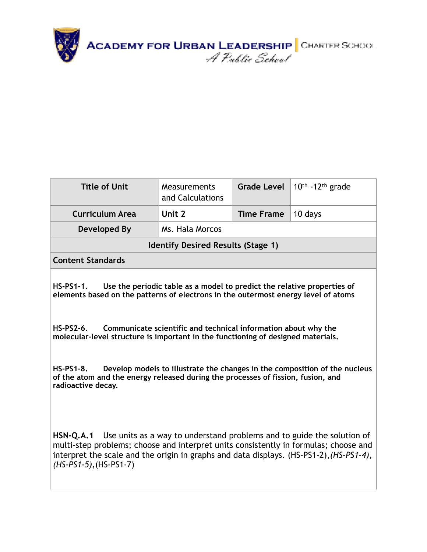

| <b>Title of Unit</b>                      | Measurements<br>and Calculations | <b>Grade Level</b> | 10th -12th grade |  |
|-------------------------------------------|----------------------------------|--------------------|------------------|--|
| <b>Curriculum Area</b>                    | Unit 2                           | <b>Time Frame</b>  | 10 days          |  |
| Developed By                              | Ms. Hala Morcos                  |                    |                  |  |
| <b>Identify Desired Results (Stage 1)</b> |                                  |                    |                  |  |
| <b>Content Standards</b>                  |                                  |                    |                  |  |
|                                           |                                  |                    |                  |  |

**HS-PS1-1. Use the periodic table as a model to predict the relative properties of elements based on the patterns of electrons in the outermost energy level of atoms** 

**HS-PS2-6. Communicate scientific and technical information about why the molecular-level structure is important in the functioning of designed materials.** 

**HS-PS1-8. Develop models to illustrate the changes in the composition of the nucleus of the atom and the energy released during the processes of fission, fusion, and radioactive decay.** 

**[HSN-Q.A.1](http://www.corestandards.org/Math/Content/HSN/Q)** Use units as a way to understand problems and to guide the solution of [multi-step problems; choose and interpret units consistently in formulas; choose and](http://www.corestandards.org/Math/Content/HSN/Q)  interpret the scale and the origin in graphs and data displays. (HS-PS1-2),*(HS-PS1-4), (HS-PS1-5)*,(HS-PS1-7)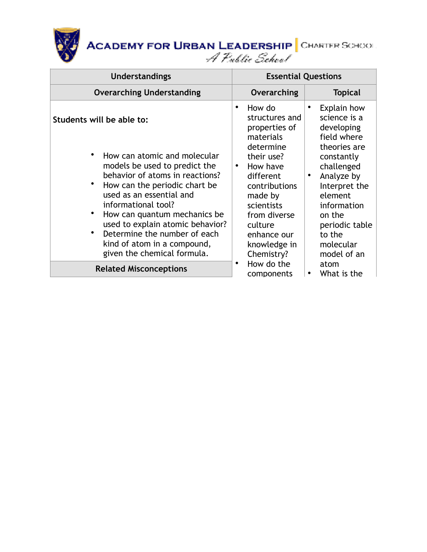

| <b>Understandings</b>                                                                                                                                                                                                                 | <b>Essential Questions</b>                                                                                                                                                                                              |  |
|---------------------------------------------------------------------------------------------------------------------------------------------------------------------------------------------------------------------------------------|-------------------------------------------------------------------------------------------------------------------------------------------------------------------------------------------------------------------------|--|
| <b>Overarching Understanding</b>                                                                                                                                                                                                      | <b>Topical</b><br>Overarching                                                                                                                                                                                           |  |
| Students will be able to:<br>٠<br>How can atomic and molecular                                                                                                                                                                        | Explain how<br>How do<br>٠<br>٠<br>science is a<br>structures and<br>developing<br>properties of<br>field where<br>materials<br>determine<br>theories are<br>their use?<br>constantly                                   |  |
| models be used to predict the<br>behavior of atoms in reactions?<br>How can the periodic chart be<br>used as an essential and<br>informational tool?<br>How can quantum mechanics be<br>used to explain atomic behavior?<br>$\bullet$ | How have<br>challenged<br>$\bullet$<br>Analyze by<br>different<br>$\bullet$<br>Interpret the<br>contributions<br>element<br>made by<br>scientists<br>information<br>from diverse<br>on the<br>culture<br>periodic table |  |
| Determine the number of each<br>kind of atom in a compound,<br>given the chemical formula.                                                                                                                                            | enhance our<br>to the<br>knowledge in<br>molecular<br>Chemistry?<br>model of an                                                                                                                                         |  |
| <b>Related Misconceptions</b>                                                                                                                                                                                                         | How do the<br>atom<br>٠<br>What is the<br>٠<br>components                                                                                                                                                               |  |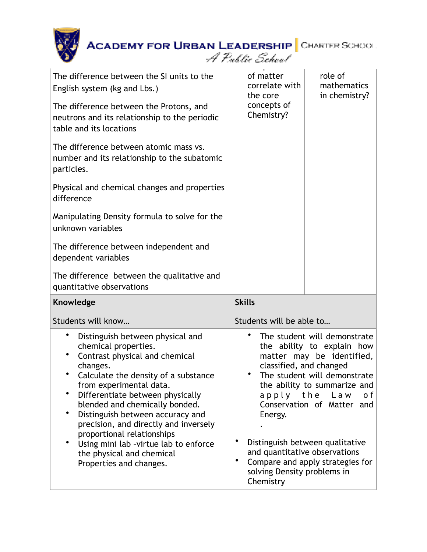| <b>ACADEMY FOR URBAN LEADERSHIP</b> CHARTER SCHOOL                                                                                                                                                                                                                                                                                                                                                                                                                          | A Public School                                                                                                                                                                                                                                                                                                                                                                                                         |                                         |
|-----------------------------------------------------------------------------------------------------------------------------------------------------------------------------------------------------------------------------------------------------------------------------------------------------------------------------------------------------------------------------------------------------------------------------------------------------------------------------|-------------------------------------------------------------------------------------------------------------------------------------------------------------------------------------------------------------------------------------------------------------------------------------------------------------------------------------------------------------------------------------------------------------------------|-----------------------------------------|
| The difference between the SI units to the<br>English system (kg and Lbs.)                                                                                                                                                                                                                                                                                                                                                                                                  | of matter<br>correlate with<br>the core                                                                                                                                                                                                                                                                                                                                                                                 | role of<br>mathematics<br>in chemistry? |
| The difference between the Protons, and<br>neutrons and its relationship to the periodic<br>table and its locations                                                                                                                                                                                                                                                                                                                                                         | concepts of<br>Chemistry?                                                                                                                                                                                                                                                                                                                                                                                               |                                         |
| The difference between atomic mass vs.<br>number and its relationship to the subatomic<br>particles.                                                                                                                                                                                                                                                                                                                                                                        |                                                                                                                                                                                                                                                                                                                                                                                                                         |                                         |
| Physical and chemical changes and properties<br>difference                                                                                                                                                                                                                                                                                                                                                                                                                  |                                                                                                                                                                                                                                                                                                                                                                                                                         |                                         |
| Manipulating Density formula to solve for the<br>unknown variables                                                                                                                                                                                                                                                                                                                                                                                                          |                                                                                                                                                                                                                                                                                                                                                                                                                         |                                         |
| The difference between independent and<br>dependent variables                                                                                                                                                                                                                                                                                                                                                                                                               |                                                                                                                                                                                                                                                                                                                                                                                                                         |                                         |
| The difference between the qualitative and<br>quantitative observations                                                                                                                                                                                                                                                                                                                                                                                                     |                                                                                                                                                                                                                                                                                                                                                                                                                         |                                         |
| Knowledge                                                                                                                                                                                                                                                                                                                                                                                                                                                                   | <b>Skills</b>                                                                                                                                                                                                                                                                                                                                                                                                           |                                         |
| Students will know                                                                                                                                                                                                                                                                                                                                                                                                                                                          | Students will be able to                                                                                                                                                                                                                                                                                                                                                                                                |                                         |
| Distinguish between physical and<br>chemical properties.<br>٠<br>Contrast physical and chemical<br>changes.<br>Calculate the density of a substance<br>from experimental data.<br>Differentiate between physically<br>٠<br>blended and chemically bonded.<br>٠<br>Distinguish between accuracy and<br>precision, and directly and inversely<br>proportional relationships<br>Using mini lab - virtue lab to enforce<br>the physical and chemical<br>Properties and changes. | The student will demonstrate<br>the ability to explain how<br>matter may be identified,<br>classified, and changed<br>The student will demonstrate<br>the ability to summarize and<br>apply the<br>Law<br>o f<br>Conservation of Matter and<br>Energy.<br>Distinguish between qualitative<br>and quantitative observations<br>$\bullet$<br>Compare and apply strategies for<br>solving Density problems in<br>Chemistry |                                         |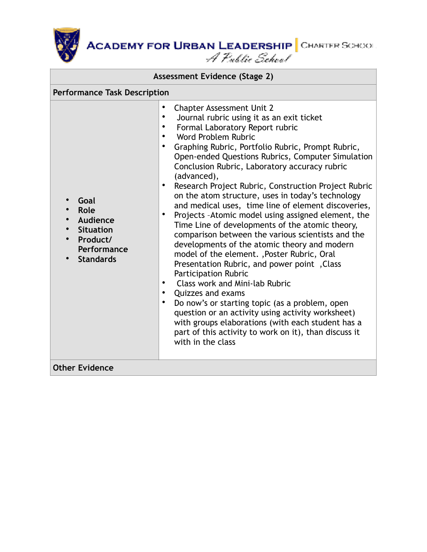| Assessment Evidence (Stage 2)                                                               |                                                                                                                                                                                                                                                                                                                                                                                                                                                                                                                                                                                                                                                                                                                                                                                                                                                                                                                                                                                                                                                                                                                                                                                                                  |  |  |
|---------------------------------------------------------------------------------------------|------------------------------------------------------------------------------------------------------------------------------------------------------------------------------------------------------------------------------------------------------------------------------------------------------------------------------------------------------------------------------------------------------------------------------------------------------------------------------------------------------------------------------------------------------------------------------------------------------------------------------------------------------------------------------------------------------------------------------------------------------------------------------------------------------------------------------------------------------------------------------------------------------------------------------------------------------------------------------------------------------------------------------------------------------------------------------------------------------------------------------------------------------------------------------------------------------------------|--|--|
| <b>Performance Task Description</b>                                                         |                                                                                                                                                                                                                                                                                                                                                                                                                                                                                                                                                                                                                                                                                                                                                                                                                                                                                                                                                                                                                                                                                                                                                                                                                  |  |  |
| Goal<br>Role<br>Audience<br><b>Situation</b><br>Product/<br>Performance<br><b>Standards</b> | <b>Chapter Assessment Unit 2</b><br>Journal rubric using it as an exit ticket<br>Formal Laboratory Report rubric<br>$\bullet$<br>Word Problem Rubric<br>$\bullet$<br>Graphing Rubric, Portfolio Rubric, Prompt Rubric,<br>Open-ended Questions Rubrics, Computer Simulation<br>Conclusion Rubric, Laboratory accuracy rubric<br>(advanced),<br>Research Project Rubric, Construction Project Rubric<br>on the atom structure, uses in today's technology<br>and medical uses, time line of element discoveries,<br>Projects - Atomic model using assigned element, the<br>$\bullet$<br>Time Line of developments of the atomic theory,<br>comparison between the various scientists and the<br>developments of the atomic theory and modern<br>model of the element. , Poster Rubric, Oral<br>Presentation Rubric, and power point, Class<br>Participation Rubric<br><b>Class work and Mini-lab Rubric</b><br>$\bullet$<br>Quizzes and exams<br>$\bullet$<br>Do now's or starting topic (as a problem, open<br>$\bullet$<br>question or an activity using activity worksheet)<br>with groups elaborations (with each student has a<br>part of this activity to work on it), than discuss it<br>with in the class |  |  |
| <b>Other Evidence</b>                                                                       |                                                                                                                                                                                                                                                                                                                                                                                                                                                                                                                                                                                                                                                                                                                                                                                                                                                                                                                                                                                                                                                                                                                                                                                                                  |  |  |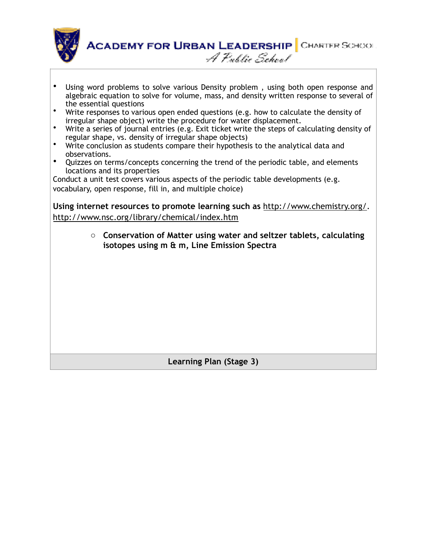

- Using word problems to solve various Density problem , using both open response and algebraic equation to solve for volume, mass, and density written response to several of the essential questions
- Write responses to various open ended questions (e.g. how to calculate the density of irregular shape object) write the procedure for water displacement.
- Write a series of journal entries (e.g. Exit ticket write the steps of calculating density of regular shape, vs. density of irregular shape objects)
- Write conclusion as students compare their hypothesis to the analytical data and observations.
- Quizzes on terms/concepts concerning the trend of the periodic table, and elements locations and its properties

Conduct a unit test covers various aspects of the periodic table developments (e.g. vocabulary, open response, fill in, and multiple choice)

**Using internet resources to promote learning such as** [http://www.chemistry.org/.](http://www.chemistry.org/) <http://www.nsc.org/library/chemical/index.htm>

> o **Conservation of Matter using water and seltzer tablets, calculating isotopes using m & m, Line Emission Spectra**

> > **Learning Plan (Stage 3)**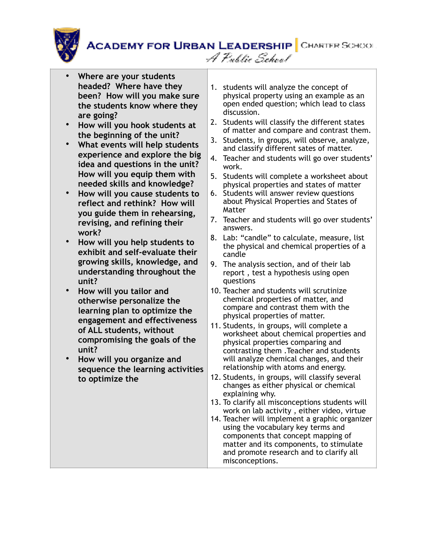

- **Where are your students headed? Where have they been? How will you make sure the students know where they are going?**
- **How will you hook students at the beginning of the unit?**
- **What events will help students experience and explore the big idea and questions in the unit? How will you equip them with needed skills and knowledge?**
- **How will you cause students to reflect and rethink? How will you guide them in rehearsing, revising, and refining their work?**
- **How will you help students to exhibit and self-evaluate their growing skills, knowledge, and understanding throughout the unit?**
- **How will you tailor and otherwise personalize the learning plan to optimize the engagement and effectiveness of ALL students, without compromising the goals of the unit?**
- **How will you organize and sequence the learning activities to optimize the**

1. students will analyze the concept of physical property using an example as an open ended question; which lead to class discussion.

A Public School

- 2. Students will classify the different states of matter and compare and contrast them.
- 3. Students, in groups, will observe, analyze, and classify different sates of matter.
- 4. Teacher and students will go over students' work.
- 5. Students will complete a worksheet about physical properties and states of matter
- 6. Students will answer review questions about Physical Properties and States of Matter
- 7. Teacher and students will go over students' answers.
- 8. Lab: "candle" to calculate, measure, list the physical and chemical properties of a candle
- 9. The analysis section, and of their lab report , test a hypothesis using open questions
- 10. Teacher and students will scrutinize chemical properties of matter, and compare and contrast them with the physical properties of matter.
- 11. Students, in groups, will complete a worksheet about chemical properties and physical properties comparing and contrasting them .Teacher and students will analyze chemical changes, and their relationship with atoms and energy.
- 12. Students, in groups, will classify several changes as either physical or chemical explaining why.
- 13. To clarify all misconceptions students will work on lab activity , either video, virtue
- 14. Teacher will implement a graphic organizer using the vocabulary key terms and components that concept mapping of matter and its components, to stimulate and promote research and to clarify all misconceptions.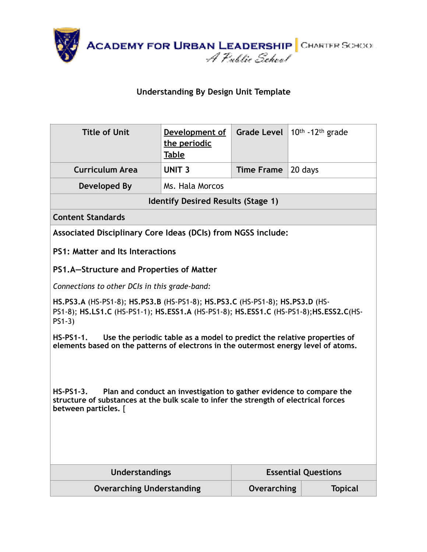

#### **Understanding By Design Unit Template**

| <b>Title of Unit</b>                                                                                                                                                                               | Development of<br>the periodic<br>Table   | <b>Grade Level</b> | $10th - 12th$ grade        |  |
|----------------------------------------------------------------------------------------------------------------------------------------------------------------------------------------------------|-------------------------------------------|--------------------|----------------------------|--|
| <b>Curriculum Area</b>                                                                                                                                                                             | <b>UNIT 3</b>                             | <b>Time Frame</b>  | 20 days                    |  |
| Developed By                                                                                                                                                                                       | Ms. Hala Morcos                           |                    |                            |  |
|                                                                                                                                                                                                    | <b>Identify Desired Results (Stage 1)</b> |                    |                            |  |
| <b>Content Standards</b>                                                                                                                                                                           |                                           |                    |                            |  |
| Associated Disciplinary Core Ideas (DCIs) from NGSS include:                                                                                                                                       |                                           |                    |                            |  |
| <b>PS1: Matter and Its Interactions</b>                                                                                                                                                            |                                           |                    |                            |  |
| PS1.A-Structure and Properties of Matter                                                                                                                                                           |                                           |                    |                            |  |
| Connections to other DCIs in this grade-band:                                                                                                                                                      |                                           |                    |                            |  |
| HS.PS3.A (HS-PS1-8); HS.PS3.B (HS-PS1-8); HS.PS3.C (HS-PS1-8); HS.PS3.D (HS-<br>PS1-8); HS.LS1.C (HS-PS1-1); HS.ESS1.A (HS-PS1-8); HS.ESS1.C (HS-PS1-8); HS.ESS2.C(HS-<br>$PS1-3$                  |                                           |                    |                            |  |
| Use the periodic table as a model to predict the relative properties of<br>$HS-PS1-1.$<br>elements based on the patterns of electrons in the outermost energy level of atoms.                      |                                           |                    |                            |  |
| Plan and conduct an investigation to gather evidence to compare the<br>$HS-PS1-3.$<br>structure of substances at the bulk scale to infer the strength of electrical forces<br>between particles. [ |                                           |                    |                            |  |
| <b>Understandings</b>                                                                                                                                                                              |                                           |                    | <b>Essential Questions</b> |  |
| <b>Overarching Understanding</b>                                                                                                                                                                   |                                           | Overarching        | <b>Topical</b>             |  |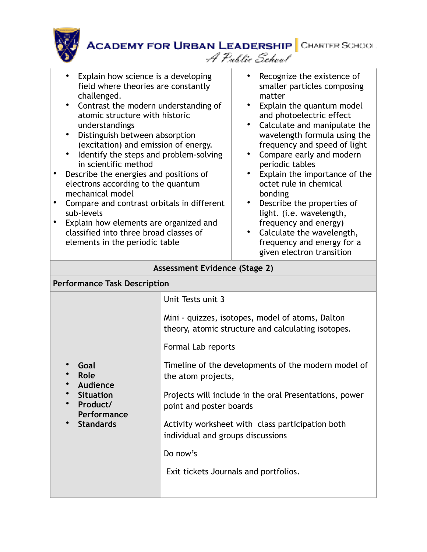**ACADEMY FOR URBAN LEADERSHIP** CHARTER SCHOOL A Public School

- Explain how science is a developing field where theories are constantly challenged.
- Contrast the modern understanding of atomic structure with historic understandings
- Distinguish between absorption (excitation) and emission of energy.
- Identify the steps and problem-solving in scientific method
- Describe the energies and positions of electrons according to the quantum mechanical model
- Compare and contrast orbitals in different sub-levels
- Explain how elements are organized and classified into three broad classes of elements in the periodic table
- Recognize the existence of smaller particles composing matter
- Explain the quantum model and photoelectric effect
- Calculate and manipulate the wavelength formula using the frequency and speed of light
- Compare early and modern periodic tables
- Explain the importance of the octet rule in chemical bonding
- Describe the properties of light. (i.e. wavelength, frequency and energy)
- Calculate the wavelength, frequency and energy for a given electron transition

#### **Assessment Evidence (Stage 2)**

| <b>Performance Task Description</b>                                                                                   |                                                                                                        |  |  |
|-----------------------------------------------------------------------------------------------------------------------|--------------------------------------------------------------------------------------------------------|--|--|
|                                                                                                                       | Unit Tests unit 3                                                                                      |  |  |
|                                                                                                                       | Mini - quizzes, isotopes, model of atoms, Dalton<br>theory, atomic structure and calculating isotopes. |  |  |
|                                                                                                                       | Formal Lab reports                                                                                     |  |  |
| Goal<br>Role<br>Audience<br><b>Situation</b><br>Product/<br>$\bullet$<br>Performance<br><b>Standards</b><br>$\bullet$ | Timeline of the developments of the modern model of<br>the atom projects,                              |  |  |
|                                                                                                                       | Projects will include in the oral Presentations, power<br>point and poster boards                      |  |  |
|                                                                                                                       | Activity worksheet with class participation both<br>individual and groups discussions                  |  |  |
|                                                                                                                       | Do now's                                                                                               |  |  |
|                                                                                                                       | Exit tickets Journals and portfolios.                                                                  |  |  |
|                                                                                                                       |                                                                                                        |  |  |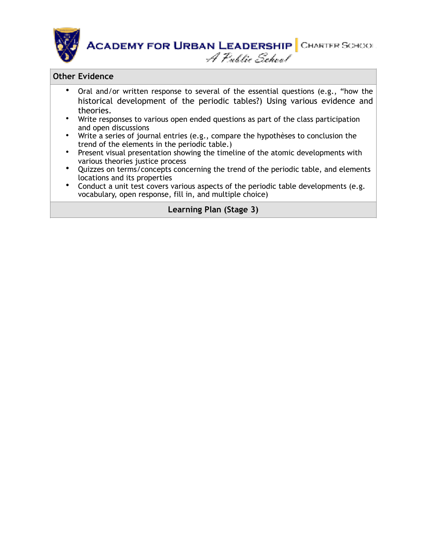

#### **Other Evidence**

- Oral and/or written response to several of the essential questions (e.g., "how the historical development of the periodic tables?) Using various evidence and theories.
- Write responses to various open ended questions as part of the class participation and open discussions
- Write a series of journal entries (e.g., compare the hypothèses to conclusion the trend of the elements in the periodic table.)
- Present visual presentation showing the timeline of the atomic developments with various theories justice process
- Quizzes on terms/concepts concerning the trend of the periodic table, and elements locations and its properties
- Conduct a unit test covers various aspects of the periodic table developments (e.g. vocabulary, open response, fill in, and multiple choice)

#### **Learning Plan (Stage 3)**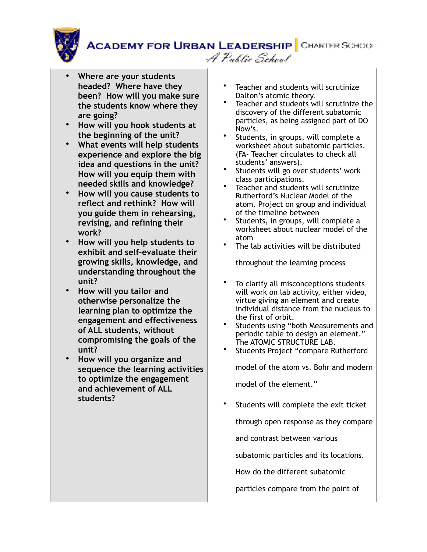

**ACADEMY FOR URBAN LEADERSHIP** CHARTER SCHOOL A Public School

- **Where are your students headed? Where have they been? How will you make sure the students know where they are going?**
- **How will you hook students at the beginning of the unit?**
- **What events will help students experience and explore the big idea and questions in the unit? How will you equip them with needed skills and knowledge?**
- **How will you cause students to reflect and rethink? How will you guide them in rehearsing, revising, and refining their work?**
- **How will you help students to exhibit and self-evaluate their growing skills, knowledge, and understanding throughout the unit?**
- **How will you tailor and otherwise personalize the learning plan to optimize the engagement and effectiveness of ALL students, without compromising the goals of the unit?**
- **How will you organize and sequence the learning activities to optimize the engagement and achievement of ALL students?**
- Teacher and students will scrutinize Dalton's atomic theory.
- Teacher and students will scrutinize the discovery of the different subatomic particles, as being assigned part of DO Now's.
- Students, in groups, will complete a worksheet about subatomic particles. (FA- Teacher circulates to check all students' answers).
- Students will go over students' work class participations.
- Teacher and students will scrutinize Rutherford's Nuclear Model of the atom. Project on group and individual of the timeline between
- Students, in groups, will complete a worksheet about nuclear model of the atom
- The lab activities will be distributed

throughout the learning process

- To clarify all misconceptions students will work on lab activity, either video, virtue giving an element and create individual distance from the nucleus to the first of orbit.
- Students using "both Measurements and periodic table to design an element." The ATOMIC STRUCTURE LAB.
- Students Project "compare Rutherford model of the atom vs. Bohr and modern

model of the element."

Students will complete the exit ticket

through open response as they compare

and contrast between various

subatomic particles and its locations.

How do the different subatomic

particles compare from the point of

view of charge, location, and symbols  $\mathcal{C}^{\text{max}}$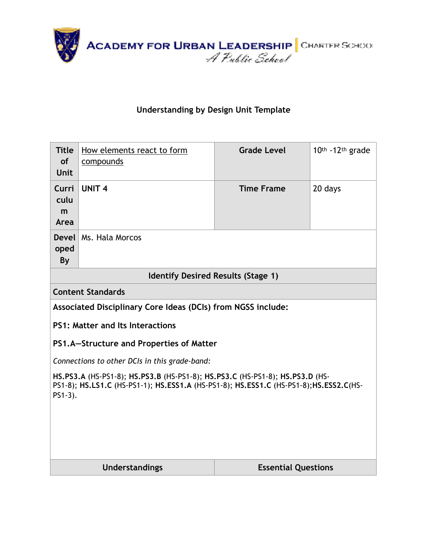

### **Understanding by Design Unit Template**

| <b>Title</b><br><b>of</b><br><b>Unit</b>                                                                                                                                             | How elements react to form<br>compounds                      | <b>Grade Level</b>         | 10th -12th grade |  |  |
|--------------------------------------------------------------------------------------------------------------------------------------------------------------------------------------|--------------------------------------------------------------|----------------------------|------------------|--|--|
| Curri<br>culu<br>m<br>Area                                                                                                                                                           | <b>UNIT 4</b>                                                | <b>Time Frame</b>          | 20 days          |  |  |
| <b>Devel</b><br>oped<br>By                                                                                                                                                           | Ms. Hala Morcos                                              |                            |                  |  |  |
|                                                                                                                                                                                      | <b>Identify Desired Results (Stage 1)</b>                    |                            |                  |  |  |
|                                                                                                                                                                                      | <b>Content Standards</b>                                     |                            |                  |  |  |
|                                                                                                                                                                                      | Associated Disciplinary Core Ideas (DCIs) from NGSS include: |                            |                  |  |  |
|                                                                                                                                                                                      | <b>PS1: Matter and Its Interactions</b>                      |                            |                  |  |  |
|                                                                                                                                                                                      | PS1.A-Structure and Properties of Matter                     |                            |                  |  |  |
|                                                                                                                                                                                      | Connections to other DCIs in this grade-band:                |                            |                  |  |  |
| HS.PS3.A (HS-PS1-8); HS.PS3.B (HS-PS1-8); HS.PS3.C (HS-PS1-8); HS.PS3.D (HS-<br>PS1-8); HS.LS1.C (HS-PS1-1); HS.ESS1.A (HS-PS1-8); HS.ESS1.C (HS-PS1-8); HS.ESS2.C(HS-<br>$PS1-3$ ). |                                                              |                            |                  |  |  |
|                                                                                                                                                                                      | <b>Understandings</b>                                        | <b>Essential Questions</b> |                  |  |  |
|                                                                                                                                                                                      |                                                              |                            |                  |  |  |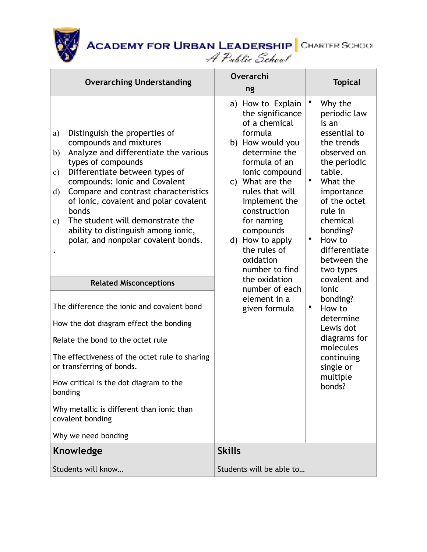| <b>Overarching Understanding</b>                                                                                                                                                                                                                                                                                                                                                                                                                                                                                                                                                                                                                                                                                                                                                                                                               | Overarchi<br>ng                                                                                                                                                                                                                                                                                                                                                                   | <b>Topical</b>                                                                                                                                                                                                                                                                                                                                                                                                            |
|------------------------------------------------------------------------------------------------------------------------------------------------------------------------------------------------------------------------------------------------------------------------------------------------------------------------------------------------------------------------------------------------------------------------------------------------------------------------------------------------------------------------------------------------------------------------------------------------------------------------------------------------------------------------------------------------------------------------------------------------------------------------------------------------------------------------------------------------|-----------------------------------------------------------------------------------------------------------------------------------------------------------------------------------------------------------------------------------------------------------------------------------------------------------------------------------------------------------------------------------|---------------------------------------------------------------------------------------------------------------------------------------------------------------------------------------------------------------------------------------------------------------------------------------------------------------------------------------------------------------------------------------------------------------------------|
| Distinguish the properties of<br>a)<br>compounds and mixtures<br>Analyze and differentiate the various<br>b)<br>types of compounds<br>Differentiate between types of<br>$\mathbf{c})$<br>compounds: Ionic and Covalent<br>Compare and contrast characteristics<br>$\rm d)$<br>of ionic, covalent and polar covalent<br>bonds<br>The student will demonstrate the<br>e)<br>ability to distinguish among ionic,<br>polar, and nonpolar covalent bonds.<br><b>Related Misconceptions</b><br>The difference the ionic and covalent bond<br>How the dot diagram effect the bonding<br>Relate the bond to the octet rule<br>The effectiveness of the octet rule to sharing<br>or transferring of bonds.<br>How critical is the dot diagram to the<br>bonding<br>Why metallic is different than ionic than<br>covalent bonding<br>Why we need bonding | a) How to Explain<br>the significance<br>of a chemical<br>formula<br>b) How would you<br>determine the<br>formula of an<br>ionic compound<br>c) What are the<br>rules that will<br>implement the<br>construction<br>for naming<br>compounds<br>d) How to apply<br>the rules of<br>oxidation<br>number to find<br>the oxidation<br>number of each<br>element in a<br>given formula | Why the<br>periodic law<br>is an<br>essential to<br>the trends<br>observed on<br>the periodic<br>table.<br>٠<br>What the<br>importance<br>of the octet<br>rule in<br>chemical<br>bonding?<br>٠<br>How to<br>differentiate<br>between the<br>two types<br>covalent and<br>ionic<br>bonding?<br>$\bullet$<br>How to<br>determine<br>Lewis dot<br>diagrams for<br>molecules<br>continuing<br>single or<br>multiple<br>bonds? |
| Knowledge                                                                                                                                                                                                                                                                                                                                                                                                                                                                                                                                                                                                                                                                                                                                                                                                                                      | <b>Skills</b>                                                                                                                                                                                                                                                                                                                                                                     |                                                                                                                                                                                                                                                                                                                                                                                                                           |
| Students will know                                                                                                                                                                                                                                                                                                                                                                                                                                                                                                                                                                                                                                                                                                                                                                                                                             | Students will be able to                                                                                                                                                                                                                                                                                                                                                          |                                                                                                                                                                                                                                                                                                                                                                                                                           |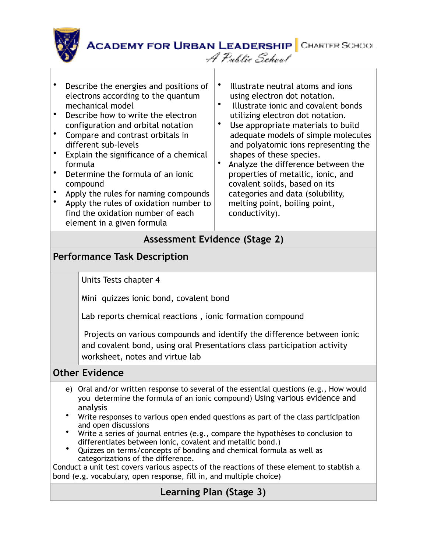

- Describe the energies and positions of electrons according to the quantum mechanical model
- Describe how to write the electron configuration and orbital notation
- Compare and contrast orbitals in different sub-levels
- Explain the significance of a chemical formula
- Determine the formula of an ionic compound
- Apply the rules for naming compounds
- Apply the rules of oxidation number to find the oxidation number of each element in a given formula
- Illustrate neutral atoms and ions using electron dot notation.
- Illustrate ionic and covalent bonds utilizing electron dot notation.
- Use appropriate materials to build adequate models of simple molecules and polyatomic ions representing the shapes of these species.
- Analyze the difference between the properties of metallic, ionic, and covalent solids, based on its categories and data (solubility, melting point, boiling point, conductivity).

## **Assessment Evidence (Stage 2)**

## **Performance Task Description**

Units Tests chapter 4

Mini quizzes ionic bond, covalent bond

Lab reports chemical reactions , ionic formation compound

 Projects on various compounds and identify the difference between ionic and covalent bond, using oral Presentations class participation activity worksheet, notes and virtue lab

### **Other Evidence**

- e) Oral and/or written response to several of the essential questions (e.g., How would you determine the formula of an ionic compound) Using various evidence and analysis
- Write responses to various open ended questions as part of the class participation and open discussions
- Write a series of journal entries (e.g., compare the hypothèses to conclusion to differentiates between Ionic, covalent and metallic bond.) • Quizzes on terms/concepts of bonding and chemical formula as well as
- categorizations of the difference.

Conduct a unit test covers various aspects of the reactions of these element to stablish a bond (e.g. vocabulary, open response, fill in, and multiple choice)

## **Learning Plan (Stage 3)**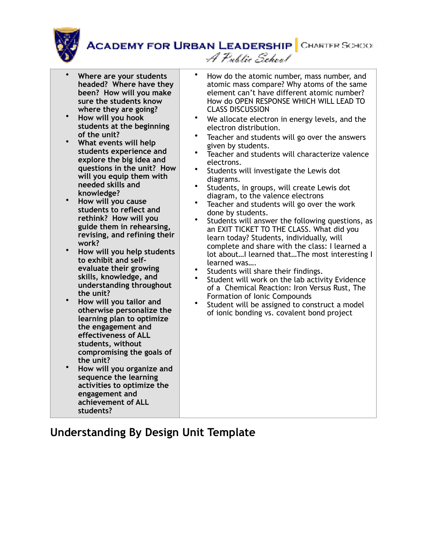

A Public School

• **Where are your students headed? Where have they been? How will you make sure the students know where they are going?** • **How will you hook students at the beginning of the unit?** • **What events will help students experience and explore the big idea and questions in the unit? How will you equip them with needed skills and knowledge?** • **How will you cause students to reflect and rethink? How will you guide them in rehearsing, revising, and refining their work?** • **How will you help students to exhibit and selfevaluate their growing skills, knowledge, and understanding throughout the unit?** • **How will you tailor and otherwise personalize the learning plan to optimize the engagement and effectiveness of ALL students, without compromising the goals of the unit?** • **How will you organize and sequence the learning activities to optimize the engagement and achievement of ALL students?** • How do the atomic number, mass number, and atomic mass compare? Why atoms of the same element can't have different atomic number? How do OPEN RESPONSE WHICH WILL LEAD TO CLASS DISCUSSION We allocate electron in energy levels, and the electron distribution. Teacher and students will go over the answers given by students. Teacher and students will characterize valence electrons. Students will investigate the Lewis dot diagrams. Students, in groups, will create Lewis dot diagram, to the valence electrons • Teacher and students will go over the work done by students. Students will answer the following questions, as an EXIT TICKET TO THE CLASS. What did you learn today? Students, individually, will complete and share with the class: I learned a lot about…I learned that…The most interesting I learned was…. Students will share their findings. Student will work on the lab activity Evidence of a Chemical Reaction: Iron Versus Rust, The Formation of Ionic Compounds Student will be assigned to construct a model of ionic bonding vs. covalent bond project

## **Understanding By Design Unit Template**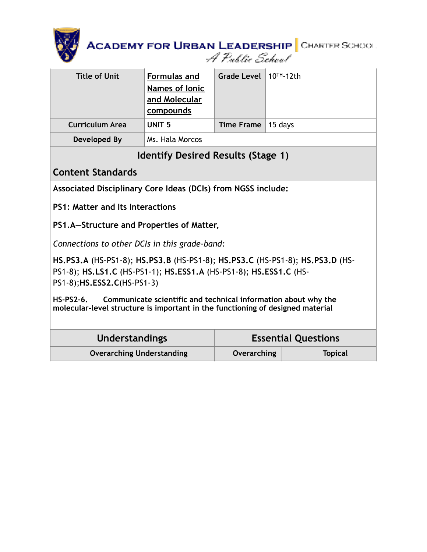

| <b>Title of Unit</b>   | <b>Formulas and</b><br><b>Names of lonic</b><br>and Molecular<br>compounds | Grade Level $10TH - 12th$  |  |
|------------------------|----------------------------------------------------------------------------|----------------------------|--|
| <b>Curriculum Area</b> | UNIT <sub>5</sub>                                                          | Time Frame $\vert$ 15 days |  |
| Developed By           | Ms. Hala Morcos                                                            |                            |  |

### **Identify Desired Results (Stage 1)**

#### **Content Standards**

**Associated Disciplinary Core Ideas (DCIs) from NGSS include:** 

**PS1: Matter and Its Interactions** 

**PS1.A—Structure and Properties of Matter,** 

*Connections to other DCIs in this grade-band:* 

**[HS.PS3.A](http://www.nextgenscience.org/hsps3-energy)** (HS-PS1-8); **[HS.PS3.B](http://www.nextgenscience.org/hsps3-energy)** (HS-PS1-8); **[HS.PS3.C](http://www.nextgenscience.org/hsps3-energy)** (HS-PS1-8); **[HS.PS3.D](http://www.nextgenscience.org/hsps3-energy)** (HS-PS1-8); **[HS.LS1.C](http://www.nextgenscience.org/hsls1-molecules-organisms-structures-processes)** (HS-PS1-1); **[HS.ESS1.A](http://www.nextgenscience.org/hsess1-earth-place-universe)** (HS-PS1-8); **[HS.ESS1.C](http://www.nextgenscience.org/hsess1-earth-place-universe)** (HS-PS1-8);**[HS.ESS2.C](http://www.nextgenscience.org/hsess2-earth-systems)**(HS-PS1-3)

**HS-PS2-6. Communicate scientific and technical information about why the molecular-level structure is important in the functioning of designed material** 

| <b>Understandings</b>            |             | <b>Essential Questions</b> |
|----------------------------------|-------------|----------------------------|
| <b>Overarching Understanding</b> | Overarching | <b>Topical</b>             |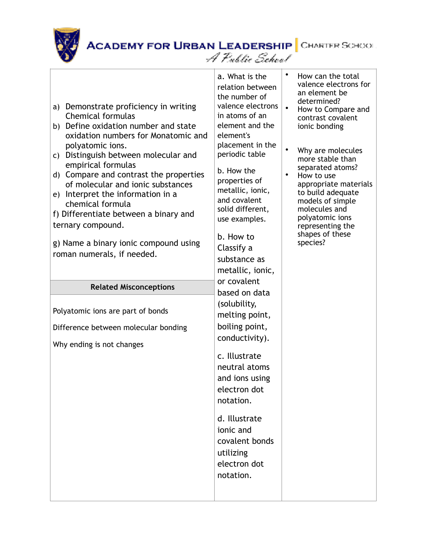

| a) Demonstrate proficiency in writing<br><b>Chemical formulas</b><br>b) Define oxidation number and state<br>oxidation numbers for Monatomic and<br>polyatomic ions.<br>Distinguish between molecular and<br>C)<br>empirical formulas<br>d) Compare and contrast the properties<br>of molecular and ionic substances<br>e) Interpret the information in a<br>chemical formula<br>f) Differentiate between a binary and<br>ternary compound.<br>g) Name a binary ionic compound using<br>roman numerals, if needed. | a. What is the<br>relation between<br>the number of<br>valence electrons<br>in atoms of an<br>element and the<br>element's<br>placement in the<br>periodic table<br>b. How the<br>properties of<br>metallic, ionic,<br>and covalent<br>solid different,<br>use examples.<br>b. How to<br>Classify a<br>substance as<br>metallic, ionic, | How can the total<br>valence electrons for<br>an element be<br>determined?<br>How to Compare and<br>contrast covalent<br>ionic bonding<br>Why are molecules<br>more stable than<br>separated atoms?<br>How to use<br>appropriate materials<br>to build adequate<br>models of simple<br>molecules and<br>polyatomic ions<br>representing the<br>shapes of these<br>species? |
|--------------------------------------------------------------------------------------------------------------------------------------------------------------------------------------------------------------------------------------------------------------------------------------------------------------------------------------------------------------------------------------------------------------------------------------------------------------------------------------------------------------------|-----------------------------------------------------------------------------------------------------------------------------------------------------------------------------------------------------------------------------------------------------------------------------------------------------------------------------------------|----------------------------------------------------------------------------------------------------------------------------------------------------------------------------------------------------------------------------------------------------------------------------------------------------------------------------------------------------------------------------|
| <b>Related Misconceptions</b>                                                                                                                                                                                                                                                                                                                                                                                                                                                                                      | or covalent                                                                                                                                                                                                                                                                                                                             |                                                                                                                                                                                                                                                                                                                                                                            |
| Polyatomic ions are part of bonds<br>Difference between molecular bonding<br>Why ending is not changes                                                                                                                                                                                                                                                                                                                                                                                                             | based on data<br>(solubility,<br>melting point,<br>boiling point,<br>conductivity).<br>c. Illustrate<br>neutral atoms<br>and ions using<br>electron dot<br>notation.<br>d. Illustrate<br>ionic and<br>covalent bonds<br>utilizing<br>electron dot<br>notation.                                                                          |                                                                                                                                                                                                                                                                                                                                                                            |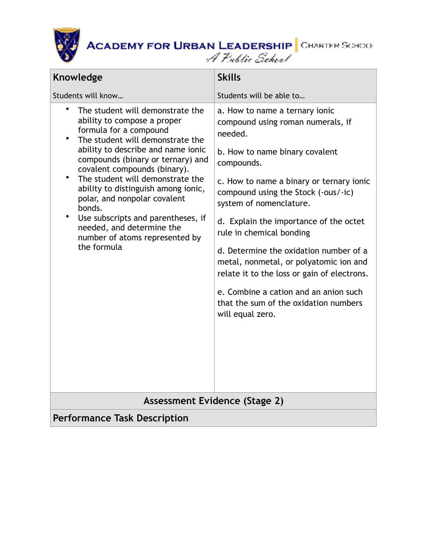

| Knowledge                                                                                                                                                                                                                                                                                                                                                                                                                                                                                                                             | <b>Skills</b>                                                                                                                                                                                                                                                                                                                                                                                                                                                                                                                                               |  |  |
|---------------------------------------------------------------------------------------------------------------------------------------------------------------------------------------------------------------------------------------------------------------------------------------------------------------------------------------------------------------------------------------------------------------------------------------------------------------------------------------------------------------------------------------|-------------------------------------------------------------------------------------------------------------------------------------------------------------------------------------------------------------------------------------------------------------------------------------------------------------------------------------------------------------------------------------------------------------------------------------------------------------------------------------------------------------------------------------------------------------|--|--|
| Students will know                                                                                                                                                                                                                                                                                                                                                                                                                                                                                                                    | Students will be able to                                                                                                                                                                                                                                                                                                                                                                                                                                                                                                                                    |  |  |
| $\bullet$<br>The student will demonstrate the<br>ability to compose a proper<br>formula for a compound<br>$\bullet$<br>The student will demonstrate the<br>ability to describe and name ionic<br>compounds (binary or ternary) and<br>covalent compounds (binary).<br>The student will demonstrate the<br>$\bullet$<br>ability to distinguish among ionic,<br>polar, and nonpolar covalent<br>bonds.<br>$\bullet$<br>Use subscripts and parentheses, if<br>needed, and determine the<br>number of atoms represented by<br>the formula | a. How to name a ternary ionic<br>compound using roman numerals, if<br>needed.<br>b. How to name binary covalent<br>compounds.<br>c. How to name a binary or ternary ionic<br>compound using the Stock (-ous/-ic)<br>system of nomenclature.<br>d. Explain the importance of the octet<br>rule in chemical bonding<br>d. Determine the oxidation number of a<br>metal, nonmetal, or polyatomic ion and<br>relate it to the loss or gain of electrons.<br>e. Combine a cation and an anion such<br>that the sum of the oxidation numbers<br>will equal zero. |  |  |
| <b>Assessment Evidence (Stage 2)</b>                                                                                                                                                                                                                                                                                                                                                                                                                                                                                                  |                                                                                                                                                                                                                                                                                                                                                                                                                                                                                                                                                             |  |  |
| <b>Performance Task Description</b>                                                                                                                                                                                                                                                                                                                                                                                                                                                                                                   |                                                                                                                                                                                                                                                                                                                                                                                                                                                                                                                                                             |  |  |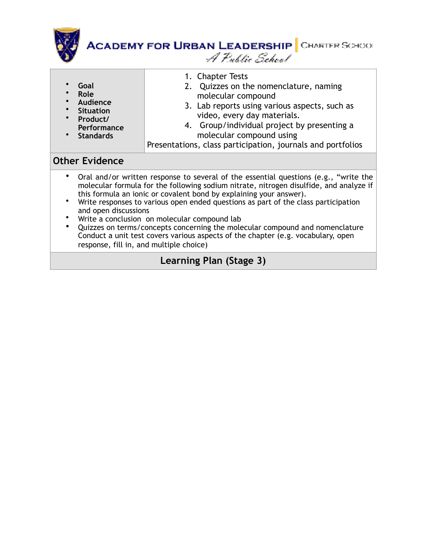

- **Goal**
- **Role**
- **Audience**
- **Situation**
- **Product/ Performance**
- **Standards**
- 1. Chapter Tests
- 2. Quizzes on the nomenclature, naming molecular compound
- 3. Lab reports using various aspects, such as video, every day materials.
- 4. Group/individual project by presenting a molecular compound using

Presentations, class participation, journals and portfolios

#### **Other Evidence**

- Oral and/or written response to several of the essential questions (e.g., "write the molecular formula for the following sodium nitrate, nitrogen disulfide, and analyze if this formula an ionic or covalent bond by explaining your answer).
- Write responses to various open ended questions as part of the class participation and open discussions
- Write a conclusion on molecular compound lab
- Quizzes on terms/concepts concerning the molecular compound and nomenclature Conduct a unit test covers various aspects of the chapter (e.g. vocabulary, open response, fill in, and multiple choice)

## **Learning Plan (Stage 3)**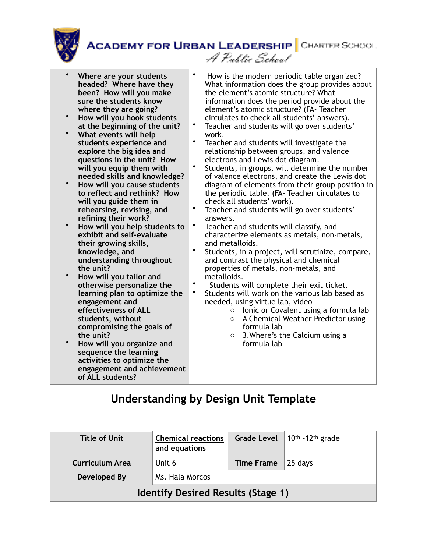

| Where are your students<br>headed? Where have they<br>been? How will you make<br>sure the students know<br>where they are going?<br>How will you hook students<br>at the beginning of the unit?<br>What events will help<br>students experience and<br>explore the big idea and<br>questions in the unit? How<br>will you equip them with<br>needed skills and knowledge?<br>How will you cause students<br>to reflect and rethink? How<br>will you guide them in<br>rehearsing, revising, and<br>refining their work?<br>How will you help students to<br>exhibit and self-evaluate<br>their growing skills,<br>knowledge, and<br>understanding throughout<br>the unit?<br>How will you tailor and<br>otherwise personalize the<br>learning plan to optimize the<br>engagement and<br>effectiveness of ALL<br>students, without<br>compromising the goals of<br>the unit?<br>How will you organize and<br>sequence the learning<br>activities to optimize the<br>engagement and achievement<br>of ALL students? | $\bullet$<br>$\bullet$<br>$\bullet$<br>$\bullet$<br>$\bullet$<br>$\bullet$<br>$\bullet$<br>$\bullet$<br>$\bullet$ | How is the modern periodic table organized?<br>What information does the group provides about<br>the element's atomic structure? What<br>information does the period provide about the<br>element's atomic structure? (FA-Teacher<br>circulates to check all students' answers).<br>Teacher and students will go over students'<br>work.<br>Teacher and students will investigate the<br>relationship between groups, and valence<br>electrons and Lewis dot diagram.<br>Students, in groups, will determine the number<br>of valence electrons, and create the Lewis dot<br>diagram of elements from their group position in<br>the periodic table. (FA-Teacher circulates to<br>check all students' work).<br>Teacher and students will go over students'<br>answers.<br>Teacher and students will classify, and<br>characterize elements as metals, non-metals,<br>and metalloids.<br>Students, in a project, will scrutinize, compare,<br>and contrast the physical and chemical<br>properties of metals, non-metals, and<br>metalloids.<br>Students will complete their exit ticket.<br>Students will work on the various lab based as<br>needed, using virtue lab, video<br>Ionic or Covalent using a formula lab<br>$\circ$<br>A Chemical Weather Predictor using<br>$\circ$<br>formula lab<br>3. Where's the Calcium using a<br>$\circ$<br>formula lab |
|------------------------------------------------------------------------------------------------------------------------------------------------------------------------------------------------------------------------------------------------------------------------------------------------------------------------------------------------------------------------------------------------------------------------------------------------------------------------------------------------------------------------------------------------------------------------------------------------------------------------------------------------------------------------------------------------------------------------------------------------------------------------------------------------------------------------------------------------------------------------------------------------------------------------------------------------------------------------------------------------------------------|-------------------------------------------------------------------------------------------------------------------|----------------------------------------------------------------------------------------------------------------------------------------------------------------------------------------------------------------------------------------------------------------------------------------------------------------------------------------------------------------------------------------------------------------------------------------------------------------------------------------------------------------------------------------------------------------------------------------------------------------------------------------------------------------------------------------------------------------------------------------------------------------------------------------------------------------------------------------------------------------------------------------------------------------------------------------------------------------------------------------------------------------------------------------------------------------------------------------------------------------------------------------------------------------------------------------------------------------------------------------------------------------------------------------------------------------------------------------------------------------|
|                                                                                                                                                                                                                                                                                                                                                                                                                                                                                                                                                                                                                                                                                                                                                                                                                                                                                                                                                                                                                  |                                                                                                                   |                                                                                                                                                                                                                                                                                                                                                                                                                                                                                                                                                                                                                                                                                                                                                                                                                                                                                                                                                                                                                                                                                                                                                                                                                                                                                                                                                                |

## **Understanding by Design Unit Template**

| Title of Unit                             | <b>Chemical reactions</b><br>and equations | <b>Grade Level</b> | 10 <sup>th</sup> -12 <sup>th</sup> grade |  |
|-------------------------------------------|--------------------------------------------|--------------------|------------------------------------------|--|
| Curriculum Area                           | Unit 6                                     | <b>Time Frame</b>  | 25 days                                  |  |
| Developed By                              | Ms. Hala Morcos                            |                    |                                          |  |
| <b>Identify Desired Results (Stage 1)</b> |                                            |                    |                                          |  |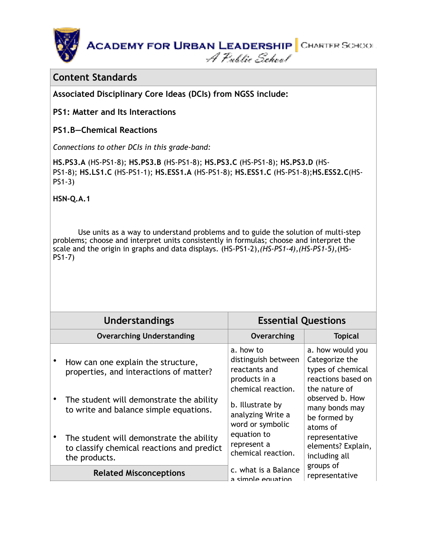**ACADEMY FOR URBAN LEADERSHIP** CHARTER SCHOOL A Public School

#### **Content Standards**

**Associated Disciplinary Core Ideas (DCIs) from NGSS include:** 

**PS1: Matter and Its Interactions** 

#### **PS1.B—Chemical Reactions**

*Connections to other DCIs in this grade-band:* 

**[HS.PS3.A](http://www.nextgenscience.org/hsps3-energy)** (HS-PS1-8); **[HS.PS3.B](http://www.nextgenscience.org/hsps3-energy)** (HS-PS1-8); **[HS.PS3.C](http://www.nextgenscience.org/hsps3-energy)** (HS-PS1-8); **[HS.PS3.D](http://www.nextgenscience.org/hsps3-energy)** (HS-PS1-8); **[HS.LS1.C](http://www.nextgenscience.org/hsls1-molecules-organisms-structures-processes)** (HS-PS1-1); **[HS.ESS1.A](http://www.nextgenscience.org/hsess1-earth-place-universe)** (HS-PS1-8); **[HS.ESS1.C](http://www.nextgenscience.org/hsess1-earth-place-universe)** (HS-PS1-8);**[HS.ESS2.C](http://www.nextgenscience.org/hsess2-earth-systems)**(HS-PS1-3)

**[HSN-Q.A.1](http://www.corestandards.org/Math/Content/HSN/Q)** 

 [Use units as a way to understand problems and to guide the solution of multi-step](http://www.corestandards.org/Math/Content/HSN/Q)  problems; choose and interpret units consistently in formulas; choose and interpret the scale and the origin in graphs and data displays. (HS-PS1-2),*(HS-PS1-4),(HS-PS1-5)*,(HS-PS1-7)

| <b>Understandings</b>                                                                                   | <b>Essential Questions</b>                                                                                    |                                                                                                |  |  |  |  |
|---------------------------------------------------------------------------------------------------------|---------------------------------------------------------------------------------------------------------------|------------------------------------------------------------------------------------------------|--|--|--|--|
| <b>Overarching Understanding</b>                                                                        | Overarching                                                                                                   | <b>Topical</b>                                                                                 |  |  |  |  |
| How can one explain the structure,<br>properties, and interactions of matter?                           | a. how to<br>distinguish between<br>reactants and<br>products in a<br>chemical reaction.                      | a. how would you<br>Categorize the<br>types of chemical<br>reactions based on<br>the nature of |  |  |  |  |
| The student will demonstrate the ability<br>to write and balance simple equations.                      | b. Illustrate by<br>analyzing Write a<br>word or symbolic<br>equation to<br>represent a<br>chemical reaction. | observed b. How<br>many bonds may<br>be formed by<br>atoms of                                  |  |  |  |  |
| The student will demonstrate the ability<br>to classify chemical reactions and predict<br>the products. |                                                                                                               | representative<br>elements? Explain,<br>including all                                          |  |  |  |  |
| <b>Related Misconceptions</b>                                                                           | c. what is a Balance<br>a simple equation                                                                     | groups of<br>representative                                                                    |  |  |  |  |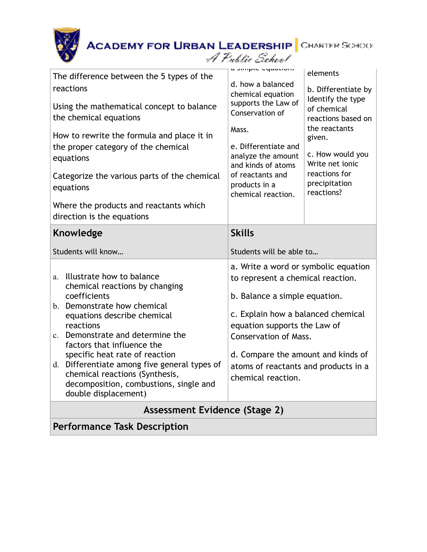读

| The difference between the 5 types of the<br>reactions<br>Using the mathematical concept to balance<br>the chemical equations<br>How to rewrite the formula and place it in<br>the proper category of the chemical<br>equations                                                                                                                                                                                                     | a simple equation.<br>d. how a balanced<br>chemical equation<br>supports the Law of<br>Conservation of<br>Mass.<br>e. Differentiate and<br>analyze the amount<br>and kinds of atoms                                                                                                                                  | elements<br>b. Differentiate by<br>Identify the type<br>of chemical<br>reactions based on<br>the reactants<br>given.<br>c. How would you<br>Write net ionic |  |  |
|-------------------------------------------------------------------------------------------------------------------------------------------------------------------------------------------------------------------------------------------------------------------------------------------------------------------------------------------------------------------------------------------------------------------------------------|----------------------------------------------------------------------------------------------------------------------------------------------------------------------------------------------------------------------------------------------------------------------------------------------------------------------|-------------------------------------------------------------------------------------------------------------------------------------------------------------|--|--|
| Categorize the various parts of the chemical<br>equations<br>Where the products and reactants which<br>direction is the equations                                                                                                                                                                                                                                                                                                   | of reactants and<br>products in a<br>chemical reaction.                                                                                                                                                                                                                                                              | reactions for<br>precipitation<br>reactions?                                                                                                                |  |  |
| <b>Knowledge</b>                                                                                                                                                                                                                                                                                                                                                                                                                    | <b>Skills</b>                                                                                                                                                                                                                                                                                                        |                                                                                                                                                             |  |  |
| Students will know                                                                                                                                                                                                                                                                                                                                                                                                                  | Students will be able to                                                                                                                                                                                                                                                                                             |                                                                                                                                                             |  |  |
| Illustrate how to balance<br>a.<br>chemical reactions by changing<br>coefficients<br>b. Demonstrate how chemical<br>equations describe chemical<br>reactions<br>Demonstrate and determine the<br>$\mathbf{c}$ .<br>factors that influence the<br>specific heat rate of reaction<br>d. Differentiate among five general types of<br>chemical reactions (Synthesis,<br>decomposition, combustions, single and<br>double displacement) | a. Write a word or symbolic equation<br>to represent a chemical reaction.<br>b. Balance a simple equation.<br>c. Explain how a balanced chemical<br>equation supports the Law of<br><b>Conservation of Mass.</b><br>d. Compare the amount and kinds of<br>atoms of reactants and products in a<br>chemical reaction. |                                                                                                                                                             |  |  |
| Assessment Evidence (Stage 2)                                                                                                                                                                                                                                                                                                                                                                                                       |                                                                                                                                                                                                                                                                                                                      |                                                                                                                                                             |  |  |
| <b>Performance Task Description</b>                                                                                                                                                                                                                                                                                                                                                                                                 |                                                                                                                                                                                                                                                                                                                      |                                                                                                                                                             |  |  |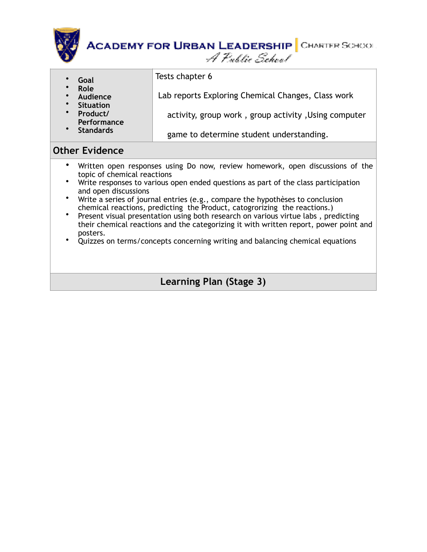

- **Goal** Tests chapter 6
- **Role**
- **Audience**
- **Situation**
- **Product/ Performance**

• **Standards**

- activity, group work , group activity ,Using computer
	- game to determine student understanding.

Lab reports Exploring Chemical Changes, Class work

## **Other Evidence**

- Written open responses using Do now, review homework, open discussions of the topic of chemical reactions
- Write responses to various open ended questions as part of the class participation and open discussions
- Write a series of journal entries (e.g., compare the hypothèses to conclusion chemical reactions, predicting the Product, catogrorizing the reactions.)
- Present visual presentation using both research on various virtue labs , predicting their chemical reactions and the categorizing it with written report, power point and posters.
- Quizzes on terms/concepts concerning writing and balancing chemical equations

## **Learning Plan (Stage 3)**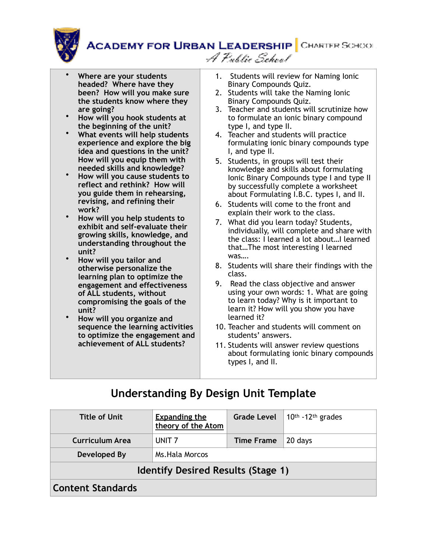**ACADEMY FOR URBAN LEADERSHIP** CHARTER SCHOOL A Public School



- **Where are your students headed? Where have they been? How will you make sure the students know where they are going?**
- **How will you hook students at the beginning of the unit?**
- **What events will help students experience and explore the big idea and questions in the unit? How will you equip them with needed skills and knowledge?**
- **How will you cause students to reflect and rethink? How will you guide them in rehearsing, revising, and refining their work?**
- **How will you help students to exhibit and self-evaluate their growing skills, knowledge, and understanding throughout the unit?**
- **How will you tailor and otherwise personalize the learning plan to optimize the engagement and effectiveness of ALL students, without compromising the goals of the unit?**
- **How will you organize and sequence the learning activities to optimize the engagement and achievement of ALL students?**
- 1. Students will review for Naming Ionic Binary Compounds Quiz.
- 2. Students will take the Naming Ionic Binary Compounds Quiz.
- 3. Teacher and students will scrutinize how to formulate an ionic binary compound type I, and type II.
- 4. Teacher and students will practice formulating ionic binary compounds type I, and type II.
- 5. Students, in groups will test their knowledge and skills about formulating Ionic Binary Compounds type I and type II by successfully complete a worksheet about Formulating I.B.C. types I, and II.
- 6. Students will come to the front and explain their work to the class.
- 7. What did you learn today? Students, individually, will complete and share with the class: I learned a lot about…I learned that…The most interesting I learned was….
- 8. Students will share their findings with the class.
- 9. Read the class objective and answer using your own words: 1. What are going to learn today? Why is it important to learn it? How will you show you have learned it?
- 10. Teacher and students will comment on students' answers.
- 11. Students will answer review questions about formulating ionic binary compounds types I, and II.

## **Understanding By Design Unit Template**

| <b>Title of Unit</b>                      | <b>Expanding the</b><br>theory of the Atom | <b>Grade Level</b> | $10th$ -12 <sup>th</sup> grades |
|-------------------------------------------|--------------------------------------------|--------------------|---------------------------------|
| <b>Curriculum Area</b>                    | UNIT <sub>7</sub>                          | <b>Time Frame</b>  | 20 days                         |
| Developed By                              | Ms. Hala Morcos                            |                    |                                 |
| <b>Identify Desired Results (Stage 1)</b> |                                            |                    |                                 |
| <b>Content Standards</b>                  |                                            |                    |                                 |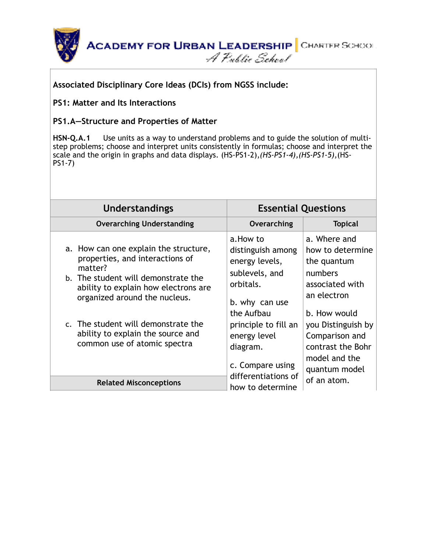

#### **Associated Disciplinary Core Ideas (DCIs) from NGSS include:**

#### **PS1: Matter and Its Interactions**

#### **PS1.A—Structure and Properties of Matter**

**[HSN-Q.A.1](http://www.corestandards.org/Math/Content/HSN/Q)** Use units as a way to understand problems and to guide the solution of multi[step problems; choose and interpret units consistently in formulas; choose and interpret the](http://www.corestandards.org/Math/Content/HSN/Q)  scale and the origin in graphs and data displays. (HS-PS1-2),*(HS-PS1-4),(HS-PS1-5)*,(HS-PS1-7)

| <b>Understandings</b>                                                                                                                                                                                                                                                                                           | <b>Essential Questions</b>                                                                                                                                                             |                                                                                                                                                                                                             |
|-----------------------------------------------------------------------------------------------------------------------------------------------------------------------------------------------------------------------------------------------------------------------------------------------------------------|----------------------------------------------------------------------------------------------------------------------------------------------------------------------------------------|-------------------------------------------------------------------------------------------------------------------------------------------------------------------------------------------------------------|
| <b>Overarching Understanding</b>                                                                                                                                                                                                                                                                                | Overarching                                                                                                                                                                            | <b>Topical</b>                                                                                                                                                                                              |
| a. How can one explain the structure,<br>properties, and interactions of<br>matter?<br>b. The student will demonstrate the<br>ability to explain how electrons are<br>organized around the nucleus.<br>c. The student will demonstrate the<br>ability to explain the source and<br>common use of atomic spectra | a.How to<br>distinguish among<br>energy levels,<br>sublevels, and<br>orbitals.<br>b. why can use<br>the Aufbau<br>principle to fill an<br>energy level<br>diagram.<br>c. Compare using | a. Where and<br>how to determine<br>the quantum<br>numbers<br>associated with<br>an electron<br>b. How would<br>you Distinguish by<br>Comparison and<br>contrast the Bohr<br>model and the<br>quantum model |
| <b>Related Misconceptions</b>                                                                                                                                                                                                                                                                                   | differentiations of<br>how to determine                                                                                                                                                | of an atom.                                                                                                                                                                                                 |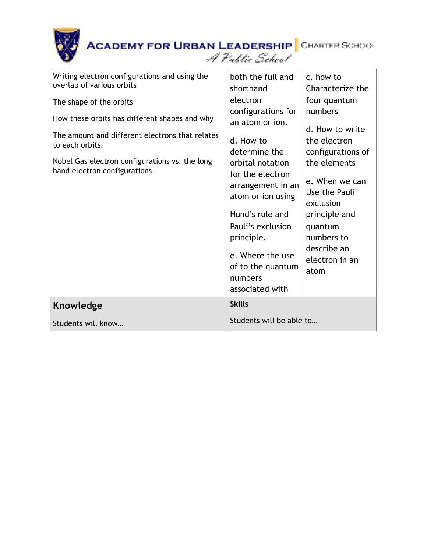| Writing electron configurations and using the<br>overlap of various orbits<br>The shape of the orbits<br>How these orbits has different shapes and why<br>The amount and different electrons that relates<br>to each orbits.<br>Nobel Gas electron configurations vs. the long<br>hand electron configurations. | both the full and<br>shorthand<br>electron<br>configurations for<br>an atom or ion.<br>d. How to<br>determine the<br>orbital notation<br>for the electron<br>arrangement in an<br>atom or ion using<br>Hund's rule and<br>Pauli's exclusion<br>principle.<br>e. Where the use<br>of to the quantum<br>numbers | c. how to<br>Characterize the<br>four quantum<br>numbers<br>d. How to write<br>the electron<br>configurations of<br>the elements<br>e. When we can<br>Use the Pauli<br>exclusion<br>principle and<br>quantum<br>numbers to<br>describe an<br>electron in an<br>atom |
|-----------------------------------------------------------------------------------------------------------------------------------------------------------------------------------------------------------------------------------------------------------------------------------------------------------------|---------------------------------------------------------------------------------------------------------------------------------------------------------------------------------------------------------------------------------------------------------------------------------------------------------------|---------------------------------------------------------------------------------------------------------------------------------------------------------------------------------------------------------------------------------------------------------------------|
|                                                                                                                                                                                                                                                                                                                 | associated with                                                                                                                                                                                                                                                                                               |                                                                                                                                                                                                                                                                     |
|                                                                                                                                                                                                                                                                                                                 |                                                                                                                                                                                                                                                                                                               |                                                                                                                                                                                                                                                                     |
| Knowledge                                                                                                                                                                                                                                                                                                       | <b>Skills</b>                                                                                                                                                                                                                                                                                                 |                                                                                                                                                                                                                                                                     |
| Students will know                                                                                                                                                                                                                                                                                              | Students will be able to                                                                                                                                                                                                                                                                                      |                                                                                                                                                                                                                                                                     |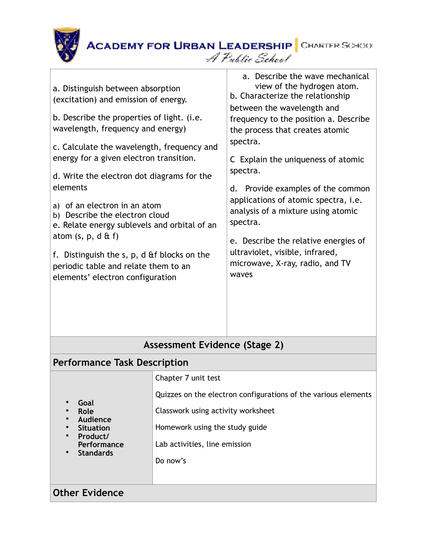

| a. Distinguish between absorption<br>(excitation) and emission of energy.<br>b. Describe the properties of light. (i.e.<br>wavelength, frequency and energy)<br>c. Calculate the wavelength, frequency and<br>energy for a given electron transition.<br>d. Write the electron dot diagrams for the<br>elements<br>a) of an electron in an atom<br>b) Describe the electron cloud<br>e. Relate energy sublevels and orbital of an<br>atom $(s, p, d \& f)$<br>f. Distinguish the s, p, d & f blocks on the<br>periodic table and relate them to an<br>elements' electron configuration |                                                                | a. Describe the wave mechanical<br>view of the hydrogen atom.<br>b. Characterize the relationship<br>between the wavelength and<br>frequency to the position a. Describe<br>the process that creates atomic<br>spectra.<br>C Explain the uniqueness of atomic<br>spectra.<br>d. Provide examples of the common<br>applications of atomic spectra, i.e.<br>analysis of a mixture using atomic<br>spectra.<br>e. Describe the relative energies of<br>ultraviolet, visible, infrared,<br>microwave, X-ray, radio, and TV<br>waves |  |  |  |  |
|----------------------------------------------------------------------------------------------------------------------------------------------------------------------------------------------------------------------------------------------------------------------------------------------------------------------------------------------------------------------------------------------------------------------------------------------------------------------------------------------------------------------------------------------------------------------------------------|----------------------------------------------------------------|---------------------------------------------------------------------------------------------------------------------------------------------------------------------------------------------------------------------------------------------------------------------------------------------------------------------------------------------------------------------------------------------------------------------------------------------------------------------------------------------------------------------------------|--|--|--|--|
|                                                                                                                                                                                                                                                                                                                                                                                                                                                                                                                                                                                        |                                                                |                                                                                                                                                                                                                                                                                                                                                                                                                                                                                                                                 |  |  |  |  |
| Assessment Evidence (Stage 2)                                                                                                                                                                                                                                                                                                                                                                                                                                                                                                                                                          |                                                                |                                                                                                                                                                                                                                                                                                                                                                                                                                                                                                                                 |  |  |  |  |
| <b>Performance Task Description</b>                                                                                                                                                                                                                                                                                                                                                                                                                                                                                                                                                    |                                                                |                                                                                                                                                                                                                                                                                                                                                                                                                                                                                                                                 |  |  |  |  |
|                                                                                                                                                                                                                                                                                                                                                                                                                                                                                                                                                                                        | Chapter 7 unit test                                            |                                                                                                                                                                                                                                                                                                                                                                                                                                                                                                                                 |  |  |  |  |
| Goal                                                                                                                                                                                                                                                                                                                                                                                                                                                                                                                                                                                   | Quizzes on the electron configurations of the various elements |                                                                                                                                                                                                                                                                                                                                                                                                                                                                                                                                 |  |  |  |  |
| Role<br>Audience                                                                                                                                                                                                                                                                                                                                                                                                                                                                                                                                                                       | Classwork using activity worksheet                             |                                                                                                                                                                                                                                                                                                                                                                                                                                                                                                                                 |  |  |  |  |
| <b>Situation</b><br>Product/<br>Performance<br><b>Standards</b>                                                                                                                                                                                                                                                                                                                                                                                                                                                                                                                        | Homework using the study guide                                 |                                                                                                                                                                                                                                                                                                                                                                                                                                                                                                                                 |  |  |  |  |
|                                                                                                                                                                                                                                                                                                                                                                                                                                                                                                                                                                                        | Lab activities, line emission                                  |                                                                                                                                                                                                                                                                                                                                                                                                                                                                                                                                 |  |  |  |  |
|                                                                                                                                                                                                                                                                                                                                                                                                                                                                                                                                                                                        | Do now's                                                       |                                                                                                                                                                                                                                                                                                                                                                                                                                                                                                                                 |  |  |  |  |
|                                                                                                                                                                                                                                                                                                                                                                                                                                                                                                                                                                                        |                                                                |                                                                                                                                                                                                                                                                                                                                                                                                                                                                                                                                 |  |  |  |  |
| <b>Other Evidence</b>                                                                                                                                                                                                                                                                                                                                                                                                                                                                                                                                                                  |                                                                |                                                                                                                                                                                                                                                                                                                                                                                                                                                                                                                                 |  |  |  |  |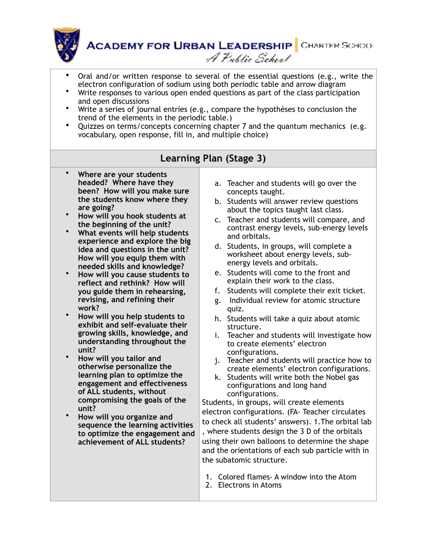

**ACADEMY FOR URBAN LEADERSHIP** CHARTER SCHOOL A Public School

- Oral and/or written response to several of the essential questions (e.g., write the electron configuration of sodium using both periodic table and arrow diagram
- Write responses to various open ended questions as part of the class participation and open discussions
- Write a series of journal entries (e.g., compare the hypothèses to conclusion the trend of the elements in the periodic table.)
- Quizzes on terms/concepts concerning chapter 7 and the quantum mechanics (e.g. vocabulary, open response, fill in, and multiple choice)

## **Learning Plan (Stage 3)**

- **Where are your students headed? Where have they been? How will you make sure the students know where they are going?**
- **How will you hook students at the beginning of the unit?**
- **What events will help students experience and explore the big idea and questions in the unit? How will you equip them with needed skills and knowledge?**
- **How will you cause students to reflect and rethink? How will you guide them in rehearsing, revising, and refining their work?**
- **How will you help students to exhibit and self-evaluate their growing skills, knowledge, and understanding throughout the unit?**
- **How will you tailor and otherwise personalize the learning plan to optimize the engagement and effectiveness of ALL students, without compromising the goals of the unit?**
- **How will you organize and sequence the learning activities to optimize the engagement and achievement of ALL students?**
- a. Teacher and students will go over the concepts taught.
- b. Students will answer review questions about the topics taught last class.
- c. Teacher and students will compare, and contrast energy levels, sub-energy levels and orbitals.
- d. Students, in groups, will complete a worksheet about energy levels, subenergy levels and orbitals.
- e. Students will come to the front and explain their work to the class.
- f. Students will complete their exit ticket.
- g. Individual review for atomic structure quiz.
- h. Students will take a quiz about atomic structure.
- i. Teacher and students will investigate how to create elements' electron configurations.
- j. Teacher and students will practice how to create elements' electron configurations.
- k. Students will write both the Nobel gas configurations and long hand configurations.

Students, in groups, will create elements electron configurations. (FA- Teacher circulates to check all students' answers). 1.The orbital lab , where students design the 3 D of the orbitals using their own balloons to determine the shape and the orientations of each sub particle with in the subatomic structure.

- 1. Colored flames- A window into the Atom
- 2. Electrons in Atoms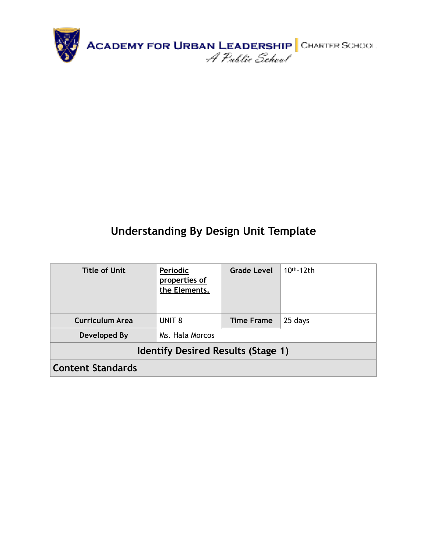

## **Understanding By Design Unit Template**

| <b>Title of Unit</b>                      | <b>Grade Level</b><br>Periodic<br>properties of<br>the Elements. |                   | $10th - 12th$ |  |  |  |  |
|-------------------------------------------|------------------------------------------------------------------|-------------------|---------------|--|--|--|--|
| <b>Curriculum Area</b>                    | UNIT <sub>8</sub>                                                | <b>Time Frame</b> | 25 days       |  |  |  |  |
| Developed By                              | Ms. Hala Morcos                                                  |                   |               |  |  |  |  |
| <b>Identify Desired Results (Stage 1)</b> |                                                                  |                   |               |  |  |  |  |
| <b>Content Standards</b>                  |                                                                  |                   |               |  |  |  |  |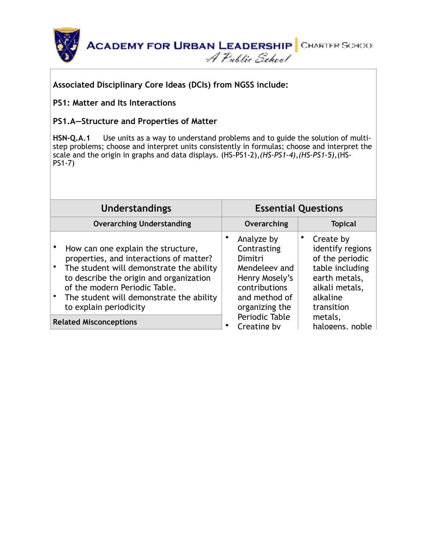



#### **Associated Disciplinary Core Ideas (DCIs) from NGSS include:**

#### **PS1: Matter and Its Interactions**

#### **PS1.A—Structure and Properties of Matter**

**[HSN-Q.A.1](http://www.corestandards.org/Math/Content/HSN/Q)** Use units as a way to understand problems and to guide the solution of multi[step problems; choose and interpret units consistently in formulas; choose and interpret the](http://www.corestandards.org/Math/Content/HSN/Q)  scale and the origin in graphs and data displays. (HS-PS1-2),*(HS-PS1-4),(HS-PS1-5)*,(HS-PS1-7)

| <b>Understandings</b>            |                                                                                                                                                                                                                                                                             | <b>Essential Questions</b> |                                                                                                                             |  |                                                                                                                                  |  |
|----------------------------------|-----------------------------------------------------------------------------------------------------------------------------------------------------------------------------------------------------------------------------------------------------------------------------|----------------------------|-----------------------------------------------------------------------------------------------------------------------------|--|----------------------------------------------------------------------------------------------------------------------------------|--|
| <b>Overarching Understanding</b> |                                                                                                                                                                                                                                                                             |                            | Overarching                                                                                                                 |  | <b>Topical</b>                                                                                                                   |  |
|                                  | How can one explain the structure,<br>properties, and interactions of matter?<br>The student will demonstrate the ability<br>to describe the origin and organization<br>of the modern Periodic Table.<br>The student will demonstrate the ability<br>to explain periodicity |                            | Analyze by<br>Contrasting<br>Dimitri<br>Mendeleev and<br>Henry Mosely's<br>contributions<br>and method of<br>organizing the |  | Create by<br>identify regions<br>of the periodic<br>table including<br>earth metals,<br>alkali metals,<br>alkaline<br>transition |  |
|                                  | <b>Related Misconceptions</b>                                                                                                                                                                                                                                               | ٠                          | Periodic Table<br>Creating by                                                                                               |  | metals,<br>halogens. noble                                                                                                       |  |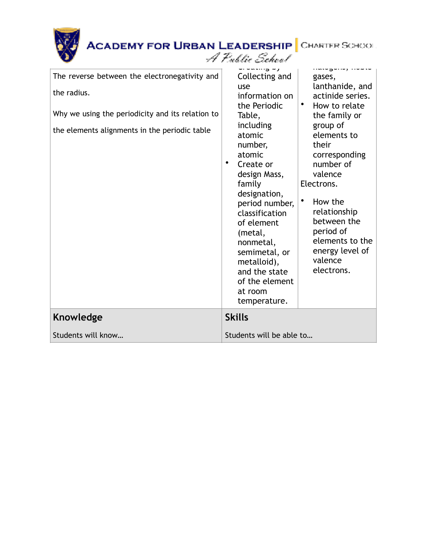|                                                                                                                                                                   | <b>ACADEMY FOR URBAN LEADERSHIP</b> CHARTER SCHOOL<br>A Public School                                                                                                                                                                                                                                                                                                                                                                                                                                                                                                                                                                                                               |
|-------------------------------------------------------------------------------------------------------------------------------------------------------------------|-------------------------------------------------------------------------------------------------------------------------------------------------------------------------------------------------------------------------------------------------------------------------------------------------------------------------------------------------------------------------------------------------------------------------------------------------------------------------------------------------------------------------------------------------------------------------------------------------------------------------------------------------------------------------------------|
| The reverse between the electronegativity and<br>the radius.<br>Why we using the periodicity and its relation to<br>the elements alignments in the periodic table | <br>Collecting and<br>gases,<br>lanthanide, and<br>use<br>actinide series.<br>information on<br>$\bullet$<br>the Periodic<br>How to relate<br>Table,<br>the family or<br>including<br>group of<br>elements to<br>atomic<br>their<br>number,<br>atomic<br>corresponding<br>number of<br>٠<br>Create or<br>valence<br>design Mass,<br>family<br>Electrons.<br>designation,<br>$\bullet$<br>How the<br>period number,<br>relationship<br>classification<br>between the<br>of element<br>period of<br>(metal,<br>elements to the<br>nonmetal,<br>energy level of<br>semimetal, or<br>valence<br>metalloid),<br>electrons.<br>and the state<br>of the element<br>at room<br>temperature. |
| Knowledge                                                                                                                                                         | <b>Skills</b>                                                                                                                                                                                                                                                                                                                                                                                                                                                                                                                                                                                                                                                                       |
| Students will know                                                                                                                                                | Students will be able to                                                                                                                                                                                                                                                                                                                                                                                                                                                                                                                                                                                                                                                            |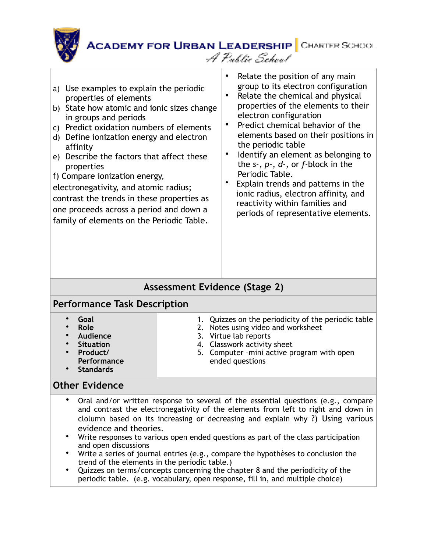

a) Use examples to explain the periodic properties of elements b) State how atomic and ionic sizes change in groups and periods c) Predict oxidation numbers of elements d) Define ionization energy and electron affinity e) Describe the factors that affect these properties f) Compare ionization energy, electronegativity, and atomic radius; contrast the trends in these properties as one proceeds across a period and down a family of elements on the Periodic Table. Relate the position of any main group to its electron configuration Relate the chemical and physical properties of the elements to their electron configuration Predict chemical behavior of the elements based on their positions in the periodic table Identify an element as belonging to the *s-*, *p-*, *d-,* or *f-*block in the Periodic Table. • Explain trends and patterns in the ionic radius, electron affinity, and reactivity within families and periods of representative elements.

## **Assessment Evidence (Stage 2)**

#### **Performance Task Description**

#### **Other Evidence**

- Oral and/or written response to several of the essential questions (e.g., compare and contrast the electronegativity of the elements from left to right and down in clolumn based on its increasing or decreasing and explain why ?) Using various evidence and theories.
- Write responses to various open ended questions as part of the class participation and open discussions
- Write a series of journal entries (e.g., compare the hypothèses to conclusion the trend of the elements in the periodic table.)
- Quizzes on terms/concepts concerning the chapter 8 and the periodicity of the periodic table. (e.g. vocabulary, open response, fill in, and multiple choice)